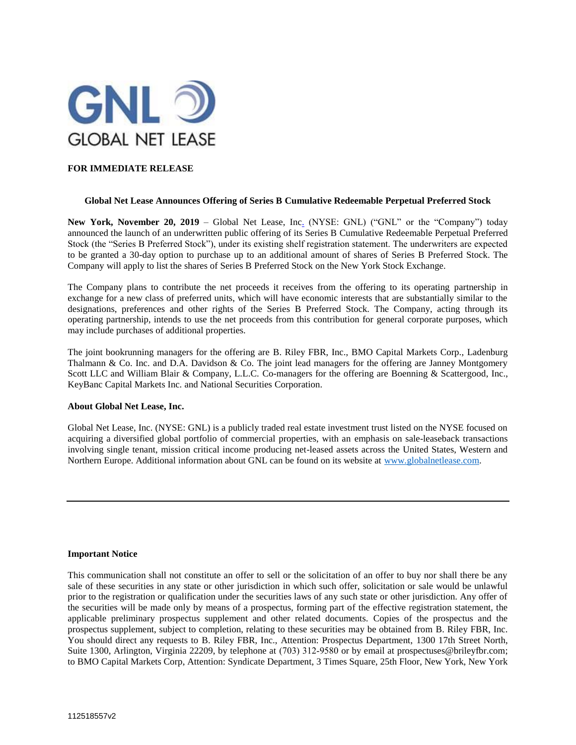

# **FOR IMMEDIATE RELEASE**

## **Global Net Lease Announces Offering of Series B Cumulative Redeemable Perpetual Preferred Stock**

New York, November 20, 2019 - Global Net Lease, Inc. (NYSE: GNL) ("GNL" or the "Company") today announced the launch of an underwritten public offering of its Series B Cumulative Redeemable Perpetual Preferred Stock (the "Series B Preferred Stock"), under its existing shelf registration statement. The underwriters are expected to be granted a 30-day option to purchase up to an additional amount of shares of Series B Preferred Stock. The Company will apply to list the shares of Series B Preferred Stock on the New York Stock Exchange.

The Company plans to contribute the net proceeds it receives from the offering to its operating partnership in exchange for a new class of preferred units, which will have economic interests that are substantially similar to the designations, preferences and other rights of the Series B Preferred Stock. The Company, acting through its operating partnership, intends to use the net proceeds from this contribution for general corporate purposes, which may include purchases of additional properties.

The joint bookrunning managers for the offering are B. Riley FBR, Inc., BMO Capital Markets Corp., Ladenburg Thalmann & Co. Inc. and D.A. Davidson & Co. The joint lead managers for the offering are Janney Montgomery Scott LLC and William Blair & Company, L.L.C. Co-managers for the offering are Boenning & Scattergood, Inc., KeyBanc Capital Markets Inc. and National Securities Corporation.

## **About Global Net Lease, Inc.**

Global Net Lease, Inc. (NYSE: GNL) is a publicly traded real estate investment trust listed on the NYSE focused on acquiring a diversified global portfolio of commercial properties, with an emphasis on sale-leaseback transactions involving single tenant, mission critical income producing net-leased assets across the United States, Western and Northern Europe. Additional information about GNL can be found on its website at [www.globalnetlease.com.](http://www.globalnetlease.com/)

## **Important Notice**

This communication shall not constitute an offer to sell or the solicitation of an offer to buy nor shall there be any sale of these securities in any state or other jurisdiction in which such offer, solicitation or sale would be unlawful prior to the registration or qualification under the securities laws of any such state or other jurisdiction. Any offer of the securities will be made only by means of a prospectus, forming part of the effective registration statement, the applicable preliminary prospectus supplement and other related documents. Copies of the prospectus and the prospectus supplement, subject to completion, relating to these securities may be obtained from B. Riley FBR, Inc. You should direct any requests to B. Riley FBR, Inc., Attention: Prospectus Department, 1300 17th Street North, Suite 1300, Arlington, Virginia 22209, by telephone at (703) 312-9580 or by email at prospectuses@brileyfbr.com; to BMO Capital Markets Corp, Attention: Syndicate Department, 3 Times Square, 25th Floor, New York, New York